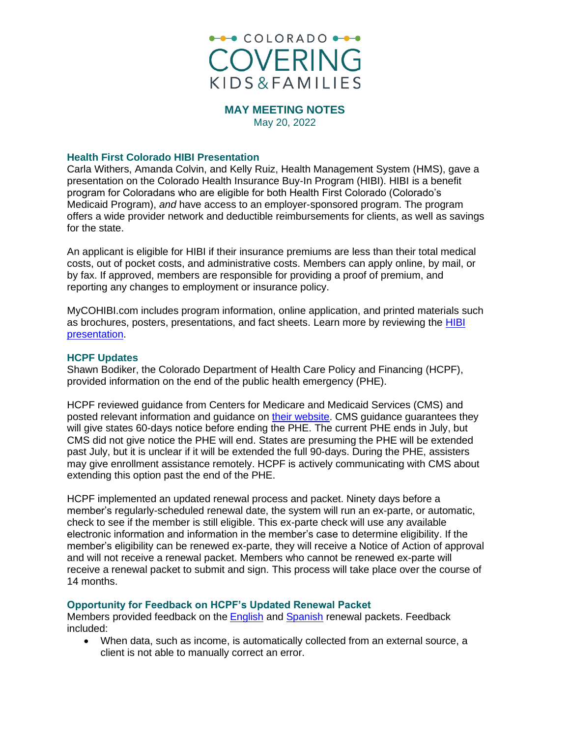

**MAY MEETING NOTES** May 20, 2022

#### **Health First Colorado HIBI Presentation**

Carla Withers, Amanda Colvin, and Kelly Ruiz, Health Management System (HMS), gave a presentation on the Colorado Health Insurance Buy-In Program (HIBI). HIBI is a benefit program for Coloradans who are eligible for both Health First Colorado (Colorado's Medicaid Program), *and* have access to an employer-sponsored program. The program offers a wide provider network and deductible reimbursements for clients, as well as savings for the state.

An applicant is eligible for HIBI if their insurance premiums are less than their total medical costs, out of pocket costs, and administrative costs. Members can apply online, by mail, or by fax. If approved, members are responsible for providing a proof of premium, and reporting any changes to employment or insurance policy.

MyCOHIBI.com includes program information, online application, and printed materials such as brochures, posters, presentations, and fact sheets. Learn more by reviewing the **HIBI** [presentation.](https://ckf.cchn.org/wp-content/uploads/Colorado-Health-Insurance-Buy-In-program_2022_Outreach.pdf)

#### **HCPF Updates**

Shawn Bodiker, the Colorado Department of Health Care Policy and Financing (HCPF), provided information on the end of the public health emergency (PHE).

HCPF reviewed guidance from Centers for Medicare and Medicaid Services (CMS) and posted relevant information and guidance on [their website.](https://hcpf.colorado.gov/phe-planning) CMS guidance guarantees they will give states 60-days notice before ending the PHE. The current PHE ends in July, but CMS did not give notice the PHE will end. States are presuming the PHE will be extended past July, but it is unclear if it will be extended the full 90-days. During the PHE, assisters may give enrollment assistance remotely. HCPF is actively communicating with CMS about extending this option past the end of the PHE.

HCPF implemented an updated renewal process and packet. Ninety days before a member's regularly-scheduled renewal date, the system will run an ex-parte, or automatic, check to see if the member is still eligible. This ex-parte check will use any available electronic information and information in the member's case to determine eligibility. If the member's eligibility can be renewed ex-parte, they will receive a Notice of Action of approval and will not receive a renewal packet. Members who cannot be renewed ex-parte will receive a renewal packet to submit and sign. This process will take place over the course of 14 months.

### **Opportunity for Feedback on HCPF's Updated Renewal Packet**

Members provided feedback on the [English](https://hcpf.colorado.gov/sites/hcpf/files/Renewal%20MAGI%20packet%20in%20English.pdf) and [Spanish](https://hcpf.colorado.gov/sites/hcpf/files/Renewal%20MAGI%20packet%20in%20Spanish.pdf) renewal packets. Feedback included:

• When data, such as income, is automatically collected from an external source, a client is not able to manually correct an error.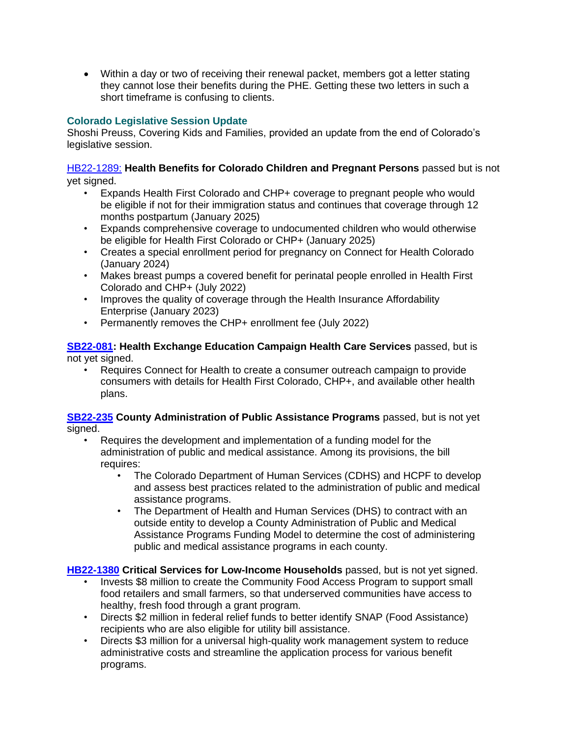• Within a day or two of receiving their renewal packet, members got a letter stating they cannot lose their benefits during the PHE. Getting these two letters in such a short timeframe is confusing to clients.

## **Colorado Legislative Session Update**

Shoshi Preuss, Covering Kids and Families, provided an update from the end of Colorado's legislative session.

## [HB22-1289:](https://leg.colorado.gov/bills/hb22-1289) **Health Benefits for Colorado Children and Pregnant Persons** passed but is not yet signed.

- Expands Health First Colorado and CHP+ coverage to pregnant people who would be eligible if not for their immigration status and continues that coverage through 12 months postpartum (January 2025)
- Expands comprehensive coverage to undocumented children who would otherwise be eligible for Health First Colorado or CHP+ (January 2025)
- Creates a special enrollment period for pregnancy on Connect for Health Colorado (January 2024)
- Makes breast pumps a covered benefit for perinatal people enrolled in Health First Colorado and CHP+ (July 2022)
- Improves the quality of coverage through the Health Insurance Affordability Enterprise (January 2023)
- Permanently removes the CHP+ enrollment fee (July 2022)

**[SB22-081:](https://leg.colorado.gov/bills/sb22-081) Health Exchange Education Campaign Health Care Services** passed, but is not yet signed.

• Requires Connect for Health to create a consumer outreach campaign to provide consumers with details for Health First Colorado, CHP+, and available other health plans.

**[SB22-235](https://leg.colorado.gov/bills/sb22-235) County Administration of Public Assistance Programs** passed, but is not yet signed.

- Requires the development and implementation of a funding model for the administration of public and medical assistance. Among its provisions, the bill requires:
	- The Colorado Department of Human Services (CDHS) and HCPF to develop and assess best practices related to the administration of public and medical assistance programs.
	- The Department of Health and Human Services (DHS) to contract with an outside entity to develop a County Administration of Public and Medical Assistance Programs Funding Model to determine the cost of administering public and medical assistance programs in each county.

# **[HB22-1380](https://leg.colorado.gov/bills/hb22-1380) Critical Services for Low-Income Households** passed, but is not yet signed.

- Invests \$8 million to create the Community Food Access Program to support small food retailers and small farmers, so that underserved communities have access to healthy, fresh food through a grant program.
- Directs \$2 million in federal relief funds to better identify SNAP (Food Assistance) recipients who are also eligible for utility bill assistance.
- Directs \$3 million for a universal high-quality work management system to reduce administrative costs and streamline the application process for various benefit programs.